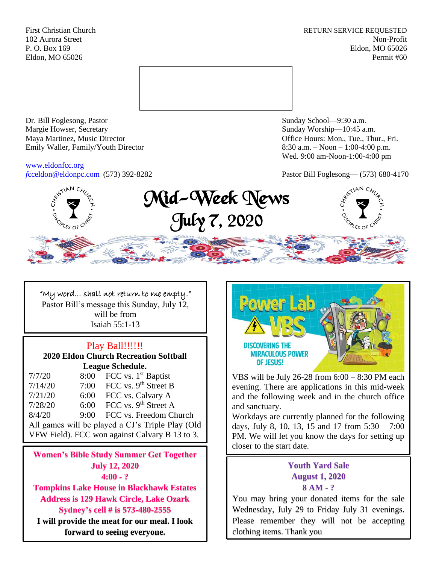First Christian Church **RETURN SERVICE REQUESTED** 102 Aurora Street Non-Profit P. O. Box 169 Eldon, MO 65026 Eldon, MO 65026 Permit #60



Dr. Bill Foglesong, Pastor Sunday School—9:30 a.m. Margie Howser, Secretary Sunday Worship—10:45 a.m. Maya Martinez, Music Director Office Hours: Mon., Tue., Thur., Fri. Emily Waller, Family/Youth Director 8:30 a.m. – Noon – 1:00-4:00 p.m.

[www.eldonfcc.org](http://www.eldonfcc.org/)

Wed. 9:00 am-Noon-1:00-4:00 pm

*f*[cceldon@eldonpc.com](mailto:fcceldon@eldonpc.com) (573) 392-8282 Pastor Bill Foglesong— (573) 680-4170



Mid-Week News July 7, 2020



"My word… shall not return to me empty." Pastor Bill's message this Sunday, July 12, will be from Isaiah 55:1-13

## Play Ball!!!!!!

**2020 Eldon Church Recreation Softball League Schedule.**

| 7/7/20                                           | 8:00 | FCC vs. $1st$ Baptist            |  |  |
|--------------------------------------------------|------|----------------------------------|--|--|
| 7/14/20                                          | 7:00 | FCC vs. 9 <sup>th</sup> Street B |  |  |
| 7/21/20                                          | 6:00 | FCC vs. Calvary A                |  |  |
| 7/28/20                                          | 6:00 | FCC vs. 9 <sup>th</sup> Street A |  |  |
| 8/4/20                                           | 9:00 | FCC vs. Freedom Church           |  |  |
| All games will be played a CJ's Triple Play (Old |      |                                  |  |  |
| VFW Field). FCC won against Calvary B 13 to 3.   |      |                                  |  |  |

**Women's Bible Study Summer Get Together July 12, 2020 4:00 - ?**

**Tompkins Lake House in Blackhawk Estates Address is 129 Hawk Circle, Lake Ozark Sydney's cell # is 573-480-2555**

**I will provide the meat for our meal. I look forward to seeing everyone.**



VBS will be July 26-28 from 6:00 – 8:30 PM each evening. There are applications in this mid-week and the following week and in the church office and sanctuary.

Workdays are currently planned for the following days, July 8, 10, 13, 15 and 17 from  $5:30 - 7:00$ PM. We will let you know the days for setting up closer to the start date.

## **Youth Yard Sale August 1, 2020 8 AM - ?**

You may bring your donated items for the sale Wednesday, July 29 to Friday July 31 evenings. Please remember they will not be accepting clothing items. Thank you